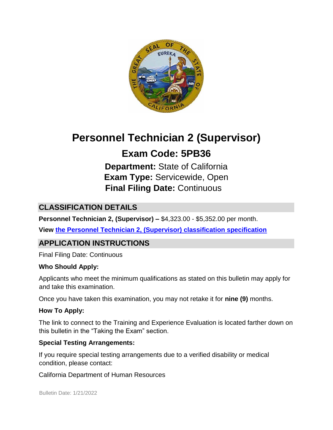

# **Personnel Technician 2 (Supervisor)**

# **Exam Code: 5PB36**

**Department:** State of California **Exam Type:** Servicewide, Open **Final Filing Date:** Continuous

## **CLASSIFICATION DETAILS**

**Personnel Technician 2, (Supervisor) –** \$4,323.00 - \$5,352.00 per month.

**View [the Personnel Technician 2, \(Supervisor\) classification specification](http://www.calhr.ca.gov/state-hr-professionals/pages/5160.aspx)**

## **APPLICATION INSTRUCTIONS**

Final Filing Date: Continuous

#### **Who Should Apply:**

Applicants who meet the minimum qualifications as stated on this bulletin may apply for and take this examination.

Once you have taken this examination, you may not retake it for **nine (9)** months.

#### **How To Apply:**

The link to connect to the Training and Experience Evaluation is located farther down on this bulletin in the "Taking the Exam" section.

#### **Special Testing Arrangements:**

If you require special testing arrangements due to a verified disability or medical condition, please contact:

California Department of Human Resources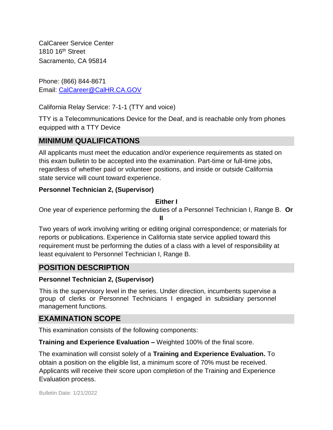CalCareer Service Center 1810 16<sup>th</sup> Street Sacramento, CA 95814

Phone: (866) 844-8671 Email: CalCareer@CalHR.CA.GOV

California Relay Service: 7-1-1 (TTY and voice)

TTY is a Telecommunications Device for the Deaf, and is reachable only from phones equipped with a TTY Device

## **MINIMUM QUALIFICATIONS**

All applicants must meet the education and/or experience requirements as stated on this exam bulletin to be accepted into the examination. Part-time or full-time jobs, regardless of whether paid or volunteer positions, and inside or outside California state service will count toward experience.

## **Personnel Technician 2, (Supervisor)**

### **Either I**

One year of experience performing the duties of a Personnel Technician I, Range B. **Or** 

**II**

Two years of work involving writing or editing original correspondence; or materials for reports or publications. Experience in California state service applied toward this requirement must be performing the duties of a class with a level of responsibility at least equivalent to Personnel Technician I, Range B.

## **POSITION DESCRIPTION**

#### **Personnel Technician 2, (Supervisor)**

This is the supervisory level in the series. Under direction, incumbents supervise a group of clerks or Personnel Technicians I engaged in subsidiary personnel management functions.

## **EXAMINATION SCOPE**

This examination consists of the following components:

**Training and Experience Evaluation –** Weighted 100% of the final score.

The examination will consist solely of a **Training and Experience Evaluation.** To obtain a position on the eligible list, a minimum score of 70% must be received. Applicants will receive their score upon completion of the Training and Experience Evaluation process.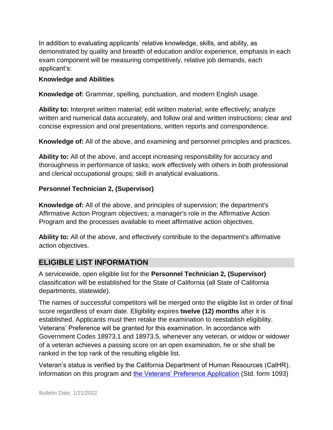In addition to evaluating applicants' relative knowledge, skills, and ability, as demonstrated by quality and breadth of education and/or experience, emphasis in each exam component will be measuring competitively, relative job demands, each applicant's:

#### **Knowledge and Abilities**

**Knowledge of:** Grammar, spelling, punctuation, and modern English usage.

**Ability to:** Interpret written material; edit written material; write effectively; analyze written and numerical data accurately, and follow oral and written instructions; clear and concise expression and oral presentations, written reports and correspondence.

**Knowledge of:** All of the above, and examining and personnel principles and practices.

**Ability to:** All of the above, and accept increasing responsibility for accuracy and thoroughness in performance of tasks; work effectively with others in both professional and clerical occupational groups; skill in analytical evaluations.

#### **Personnel Technician 2, (Supervisor)**

**Knowledge of:** All of the above, and principles of supervision; the department's Affirmative Action Program objectives; a manager's role in the Affirmative Action Program and the processes available to meet affirmative action objectives.

**Ability to:** All of the above, and effectively contribute to the department's affirmative action objectives.

## **ELIGIBLE LIST INFORMATION**

A servicewide, open eligible list for the **Personnel Technician 2, (Supervisor)** classification will be established for the State of California (all State of California departments, statewide).

The names of successful competitors will be merged onto the eligible list in order of final score regardless of exam date. Eligibility expires **twelve (12) months** after it is established. Applicants must then retake the examination to reestablish eligibility. Veterans' Preference will be granted for this examination. In accordance with Government Codes 18973.1 and 18973.5, whenever any veteran, or widow or widower of a veteran achieves a passing score on an open examination, he or she shall be ranked in the top rank of the resulting eligible list.

Veteran's status is verified by the California Department of Human Resources (CalHR). Information on this program and [the Veterans' Preference Application](https://www.jobs.ca.gov/CalHRPublic/Landing/Jobs/VeteransInformation.aspx) [\(](https://www.jobs.ca.gov/CalHRPublic/Landing/Jobs/VeteransInformation.aspx)Std. form 1093)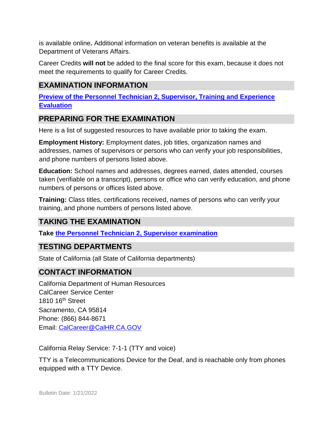is available online**.** Additional information on veteran benefits is available at the Department of Veterans Affairs.

Career Credits **will not** be added to the final score for this exam, because it does not meet the requirements to qualify for Career Credits.

# **EXAMINATION INFORMATION**

**[Preview of the Personnel Technician 2, Supervisor, Training and Experience](https://jobs.ca.gov/JOBSGEN/5PB36C.pdf) [Evaluation](https://jobs.ca.gov/JOBSGEN/5PB36C.pdf)**

## **PREPARING FOR THE EXAMINATION**

Here is a list of suggested resources to have available prior to taking the exam.

**Employment History:** Employment dates, job titles, organization names and addresses, names of supervisors or persons who can verify your job responsibilities, and phone numbers of persons listed above.

**Education:** School names and addresses, degrees earned, dates attended, courses taken (verifiable on a transcript), persons or office who can verify education, and phone numbers of persons or offices listed above.

**Training:** Class titles, certifications received, names of persons who can verify your training, and phone numbers of persons listed above.

## **TAKING THE EXAMINATION**

**Take [the Personnel Technician 2, Supervisor examination](https://exams.spb.ca.gov/exams/ptech2sup/)**

## **TESTING DEPARTMENTS**

State of California (all State of California departments)

### **CONTACT INFORMATION**

California Department of Human Resources CalCareer Service Center 1810 16th Street Sacramento, CA 95814 Phone: (866) 844-8671 Email: CalCareer@CalHR.CA.GOV

California Relay Service: 7-1-1 (TTY and voice)

TTY is a Telecommunications Device for the Deaf, and is reachable only from phones equipped with a TTY Device.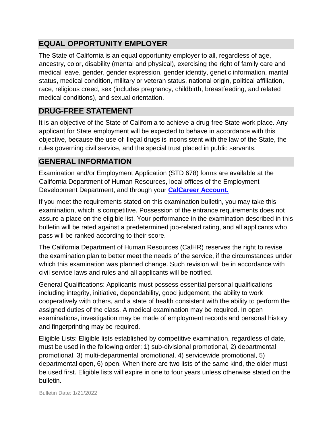## **EQUAL OPPORTUNITY EMPLOYER**

The State of California is an equal opportunity employer to all, regardless of age, ancestry, color, disability (mental and physical), exercising the right of family care and medical leave, gender, gender expression, gender identity, genetic information, marital status, medical condition, military or veteran status, national origin, political affiliation, race, religious creed, sex (includes pregnancy, childbirth, breastfeeding, and related medical conditions), and sexual orientation.

## **DRUG-FREE STATEMENT**

It is an objective of the State of California to achieve a drug-free State work place. Any applicant for State employment will be expected to behave in accordance with this objective, because the use of illegal drugs is inconsistent with the law of the State, the rules governing civil service, and the special trust placed in public servants.

## **GENERAL INFORMATION**

Examination and/or Employment Application (STD 678) forms are available at the California Department of Human Resources, local offices of the Employment Development Department, and through your **[CalCareer Account.](http://www.jobs.ca.gov/)**

If you meet the requirements stated on this examination bulletin, you may take this examination, which is competitive. Possession of the entrance requirements does not assure a place on the eligible list. Your performance in the examination described in this bulletin will be rated against a predetermined job-related rating, and all applicants who pass will be ranked according to their score.

The California Department of Human Resources (CalHR) reserves the right to revise the examination plan to better meet the needs of the service, if the circumstances under which this examination was planned change. Such revision will be in accordance with civil service laws and rules and all applicants will be notified.

General Qualifications: Applicants must possess essential personal qualifications including integrity, initiative, dependability, good judgement, the ability to work cooperatively with others, and a state of health consistent with the ability to perform the assigned duties of the class. A medical examination may be required. In open examinations, investigation may be made of employment records and personal history and fingerprinting may be required.

Eligible Lists: Eligible lists established by competitive examination, regardless of date, must be used in the following order: 1) sub-divisional promotional, 2) departmental promotional, 3) multi-departmental promotional, 4) servicewide promotional, 5) departmental open, 6) open. When there are two lists of the same kind, the older must be used first. Eligible lists will expire in one to four years unless otherwise stated on the bulletin.